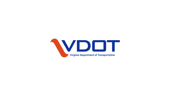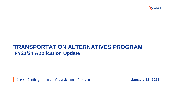

#### **TRANSPORTATION ALTERNATIVES PROGRAM FY23/24 Application Update**

**Russ Dudley - Local Assistance Division** 

**January 11, 2022**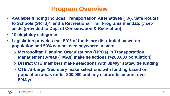### **Program Overview**

- **Available funding includes Transportation Alternatives (TA), Safe Routes to Schools (SRTS)\*, and a Recreational Trail Programs mandatory setaside (provided to Dept of Conservation & Recreation)**
- **10 eligibility categories**
- **Legislation provides that 50% of funds are distributed based on population and 50% can be used anywhere in state**
	- **Metropolitan Planning Organizations (MPOs) in Transportation Management Areas (TMAs) make selections (>200,000 population)**
	- o **District CTB members make selections with \$9M/yr statewide funding**
	- o **CTB At-Large /Secretary make selections with funding based on population areas under 200,000 and any statewide amount over \$9M/yr**

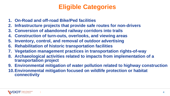## **Eligible Categories**

- **1. On-Road and off-road Bike/Ped facilities**
- **2. Infrastructure projects that provide safe routes for non-drivers**
- **3. Conversion of abandoned railway corridors into trails**
- **4. Construction of turn-outs, overlooks, and viewing areas**
- **5. Inventory, control, and removal of outdoor advertising**
- **6. Rehabilitation of historic transportation facilities**
- **7. Vegetation management practices in transportation rights-of-way**
- **8. Archaeological activities related to impacts from implementation of a transportation project**
- **9. Environmental mitigation of water pollution related to highway construction**
- **10.Environmental mitigation focused on wildlife protection or habitat connectivity**

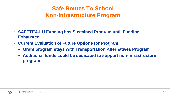#### **Safe Routes To School Non-Infrastructure Program**

- **SAFETEA-LU Funding has Sustained Program until Funding Exhausted**
- **Current Evaluation of Future Options for Program:**
	- **Grant program stays with Transportation Alternatives Program**
	- **Additional funds could be dedicated to support non-infrastructure program**

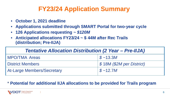## **FY23/24 Application Summary**

- **October 1, 2021 deadline**
- **Applications submitted through SMART Portal for two-year cycle**
- **126 Applications requesting** *~ \$120M*
- **Anticipated allocations FY23/24 ~ \$ 44M after Rec Trails (distribution; Pre-IIJA)**

| <b>Tentative Allocation Distribution (2 Year – Pre-IIJA)</b> |                           |
|--------------------------------------------------------------|---------------------------|
| <b>MPO/TMA Areas</b>                                         | $\sqrt{S}$ ~13.3M         |
| <b>District Members</b>                                      | \$18M (\$2M per District) |
| <b>At-Large Members/Secretary</b>                            | \$~12.7M                  |

#### \* **Potential for additional IIJA allocations to be provided for Trails program**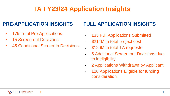# **TA FY23/24 Application Insights**

#### **PRE-APPLICATION INSIGHTS**

- 179 Total Pre-Applications
- 15 Screen-out Decisions
- 45 Conditional Screen-In Decisions

#### **FULL APPLICATION INSIGHTS**

- 133 Full Applications Submitted
- \$214M in total project cost
- \$120M in total TA requests
- 5 Additional Screen-out Decisions due to ineligibility
- 2 Applications Withdrawn by Applicant
- 126 Applications Eligible for funding consideration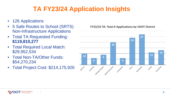# **TA FY23/24 Application Insights**

- 126 Applications
- 5 Safe Routes to School (SRTS) Non-Infrastructure Applications
- Total TA Requested Funding: **\$119,810,277**
- Total Required Local Match: \$29,952,534
- Total Non-TA/Other Funds: \$54,270,234
- Total Project Cost: \$214,175,926

#### **FY23/24 TA: Total # Applications by VDOT District**

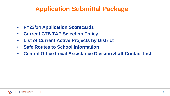## **Application Submittal Package**

- **FY23/24 Application Scorecards**
- **Current CTB TAP Selection Policy**
- **List of Current Active Projects by District**
- **Safe Routes to School Information**
- **Central Office Local Assistance Division Staff Contact List**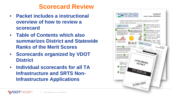#### **Scorecard Review**

- **Packet includes a instructional overview of how to review a scorecard**
- **Table of Contents which also summarizes District and Statewide Ranks of the Merit Scores**
- **Scorecards organized by VDOT District**
- **Individual scorecards for all TA Infrastructure and SRTS Non-Infrastructure Applications**



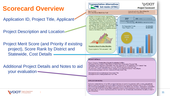### **Scorecard Overview**

Application ID, Project Title, Applicant

**Project Description and Location** 

Project Merit Score (and Priority if existing project), Score Rank by District and Statewide, Cost Details

Additional Project Details and Notes to aid your evaluation



Application states that trail will be ADA compliant but does not specify the proposed width or users; cost estimate appears reasonable but does not provide sufficient breakdown to support this; applicant relies on 80% TA funding with limited local participation; trail segment fills a gap however the sketch does not show / demonstrate connections made to provide beneficially transportation destinations beyond direct connections made to interchange and prior trail which has no connection beyond property line. Applicant has not historically demonstrated the ability to meet 4year CN deadline.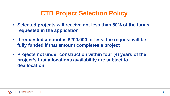### **CTB Project Selection Policy**

- **Selected projects will receive not less than 50% of the funds requested in the application**
- **If requested amount is \$200,000 or less, the request will be fully funded if that amount completes a project**
- **Projects not under construction within four (4) years of the project's first allocations availability are subject to deallocation**

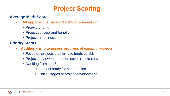## **Project Scoring**

#### **Average Merit Score**

- **All applications have a Merit Score based on:**
	- Project funding
	- Project concept and benefit
	- Project's readiness to proceed

#### **Priority Status**

- **Additional info to assess progress of** *existing* **projects**
	- Focus on projects that will use funds quickly
	- Projects reviewed based on several indicators
	- Ranking from 1 to 6
		- 1 project ready for construction
		- 6 initial stages of project development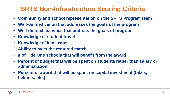## **SRTS Non-Infrastructure Scoring Criteria**

- **Community and school representation on the SRTS Program team**
- **Well-defined vision that addresses the goals of the program**
- **Well-defined activities that address the goals of program**
- **Knowledge of student travel**
- **Knowledge of key issues**
- **Ability to meet the required match**
- **# of Title One schools that will benefit from the award**
- **Percent of budget that will be spent on students rather than salary or administration**
- **Percent of award that will be spent on capital investment (bikes, helmets, etc.)**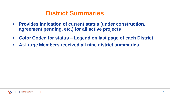#### **District Summaries**

- **Provides indication of current status (under construction, agreement pending, etc.) for all active projects**
- **Color Coded for status – Legend on last page of each District**
- **At-Large Members received all nine district summaries**